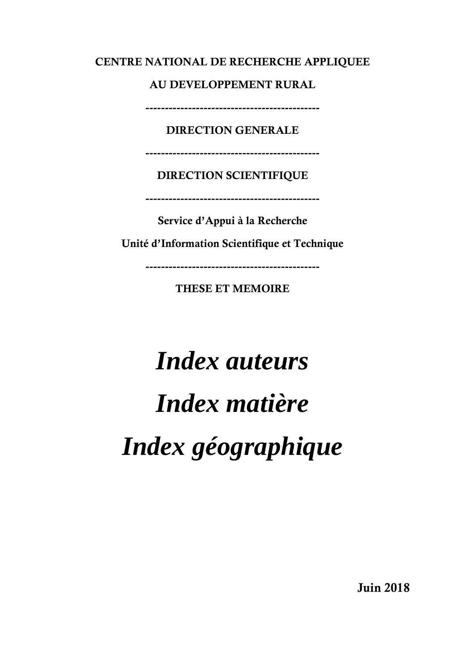#### CENTRE NATIONAL DE RECHERCHE APPLIQUEE

AU DEVELOPPEMENT RURAL

---------------------------------------------

DIRECTION GENERALE

---------------------------------------------

#### DIRECTION SCIENTIFIQUE

---------------------------------------------

Service d'Appui à la Recherche

Unité d'Information Scientifique et Technique

---------------------------------------------

THESE ET MEMOIRE

## *Index auteurs Index matière Index géographique*

Juin 2018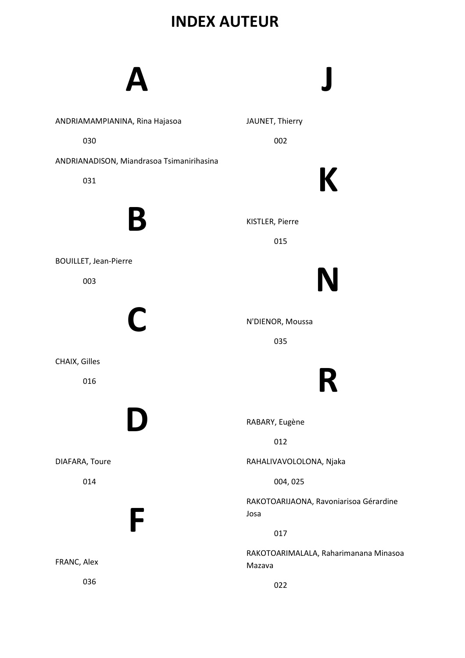#### INDEX AUTEUR

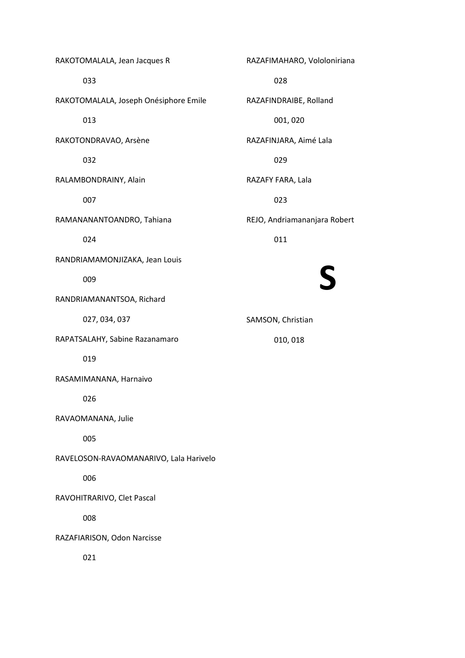RAKOTOMALALA, Jean Jacques R 033 RAKOTOMALALA, Joseph Onésiphore Emile 013 RAKOTONDRAVAO, Arsène 032 RALAMBONDRAINY, Alain 007 RAMANANANTOANDRO, Tahiana 024 RANDRIAMAMONJIZAKA, Jean Louis 009 RANDRIAMANANTSOA, Richard 027, 034, 037 RAPATSALAHY, Sabine Razanamaro 019 RASAMIMANANA, Harnaivo 026 RAVAOMANANA, Julie 005 RAVELOSON-RAVAOMANARIVO, Lala Harivelo 006 RAVOHITRARIVO, Clet Pascal 008 RAZAFIARISON, Odon Narcisse 021

 028 RAZAFINDRAIBE, Rolland 001, 020 RAZAFINJARA, Aimé Lala 029 RAZAFY FARA, Lala 023 REJO, Andriamananjara Robert 011

RAZAFIMAHARO, Vololoniriana

## S

SAMSON, Christian

010, 018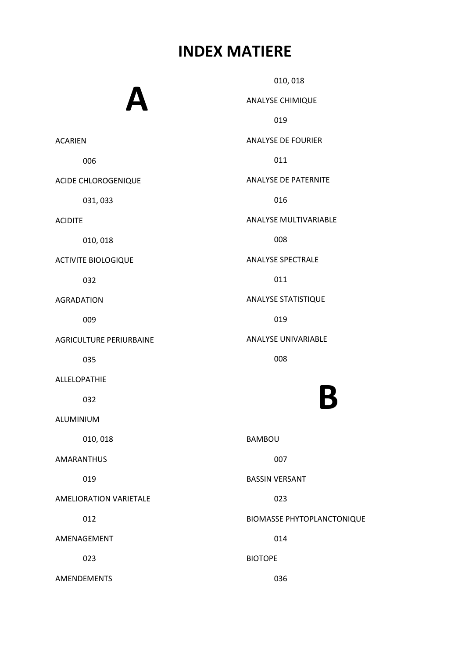#### INDEX MATIERE

ACARIEN

ACIDITE

006

032

009

035

032

019

012

023

A ACIDE CHLOROGENIQUE 031, 033 010, 018 ACTIVITE BIOLOGIQUE AGRADATION AGRICULTURE PERIURBAINE ALLELOPATHIE ALUMINIUM 010, 018 AMARANTHUS AMELIORATION VARIETALE AMENAGEMENT AMENDEMENTS 010, 018 ANALYSE CHIMIQUE 019 ANALYSE DE FOURIER 011 ANALYSE DE PATERNITE 016 ANALYSE MULTIVARIABLE 008 ANALYSE SPECTRALE 011 ANALYSE STATISTIQUE 019 ANALYSE UNIVARIABLE 008 B BAMBOU 007 BASSIN VERSANT 023 BIOMASSE PHYTOPLANCTONIQUE 014 BIOTOPE 036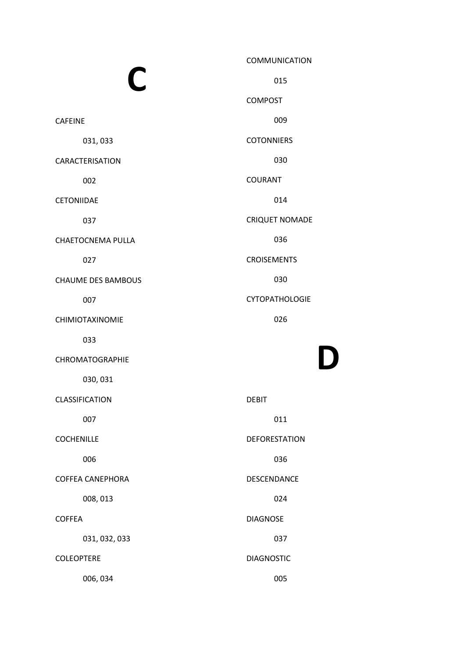|                           | <b>COMMUNICATION</b>  |
|---------------------------|-----------------------|
| C                         | 015                   |
|                           | <b>COMPOST</b>        |
| <b>CAFEINE</b>            | 009                   |
| 031,033                   | <b>COTONNIERS</b>     |
| <b>CARACTERISATION</b>    | 030                   |
| 002                       | <b>COURANT</b>        |
| CETONIIDAE                | 014                   |
| 037                       | <b>CRIQUET NOMADE</b> |
| <b>CHAETOCNEMA PULLA</b>  | 036                   |
| 027                       | <b>CROISEMENTS</b>    |
| <b>CHAUME DES BAMBOUS</b> | 030                   |
| 007                       | <b>CYTOPATHOLOGIE</b> |
| <b>CHIMIOTAXINOMIE</b>    | 026                   |
| 033                       |                       |
| CHROMATOGRAPHIE           |                       |
| 030, 031                  |                       |
| CLASSIFICATION            | <b>DEBIT</b>          |
| 007                       | 011                   |
| <b>COCHENILLE</b>         | <b>DEFORESTATION</b>  |
| 006                       | 036                   |
| <b>COFFEA CANEPHORA</b>   | DESCENDANCE           |
| 008, 013                  | 024                   |
| <b>COFFEA</b>             | <b>DIAGNOSE</b>       |
| 031, 032, 033             | 037                   |
| <b>COLEOPTERE</b>         | <b>DIAGNOSTIC</b>     |

006, 034

005

D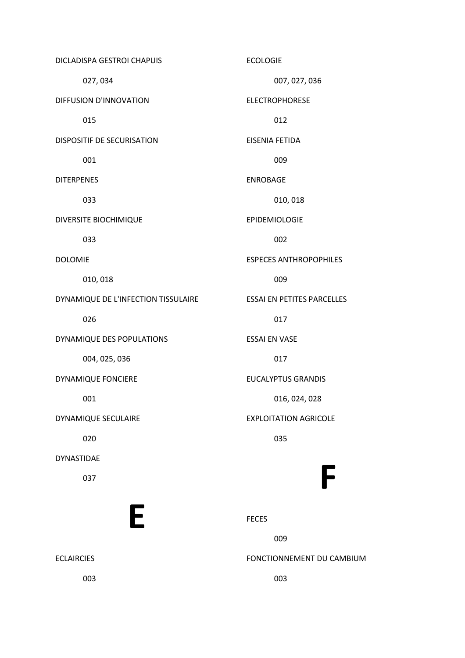DICLADISPA GESTROI CHAPUIS 027, 034 DIFFUSION D'INNOVATION 015 DISPOSITIF DE SECURISATION 001 DITERPENES 033 DIVERSITE BIOCHIMIQUE 033 DOLOMIE 010, 018 DYNAMIQUE DE L'INFECTION TISSULAIRE 026 DYNAMIQUE DES POPULATIONS 004, 025, 036 DYNAMIQUE FONCIERE 001 DYNAMIQUE SECULAIRE 020 DYNASTIDAE 037 E ECLAIRCIES 003 ECOLOGIE 007, 027, 036 ELECTROPHORESE 012 EISENIA FETIDA 009 ENROBAGE 010, 018 EPIDEMIOLOGIE 002 ESPECES ANTHROPOPHILES 009 ESSAI EN PETITES PARCELLES 017 ESSAI EN VASE 017 EUCALYPTUS GRANDIS 016, 024, 028 EXPLOITATION AGRICOLE 035 F FECES 009 FONCTIONNEMENT DU CAMBIUM 003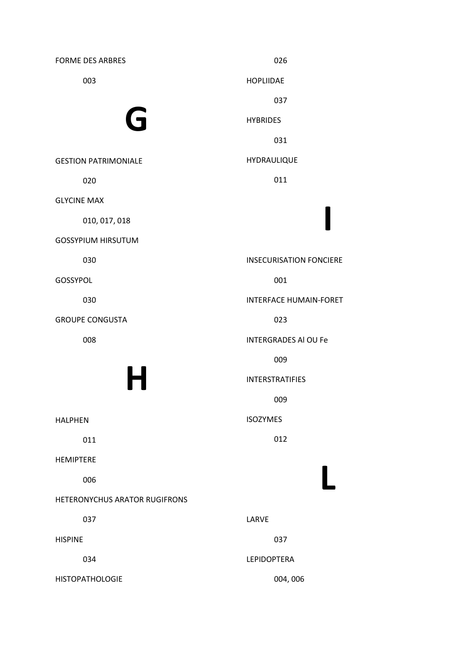FORME DES ARBRES 003 G GESTION PATRIMONIALE 020 GLYCINE MAX 010, 017, 018 GOSSYPIUM HIRSUTUM 030 GOSSYPOL 030 GROUPE CONGUSTA 008 H HALPHEN 011 HEMIPTERE 006 HETERONYCHUS ARATOR RUGIFRONS 037 HISPINE 034 HISTOPATHOLOGIE 026 HOPLIIDAE 037 HYBRIDES 031 HYDRAULIQUE 011 I INSECURISATION FONCIERE 001 INTERFACE HUMAIN-FORET 023 INTERGRADES Al OU Fe 009 INTERSTRATIFIES 009 ISOZYMES 012 L LARVE 037 LEPIDOPTERA 004, 006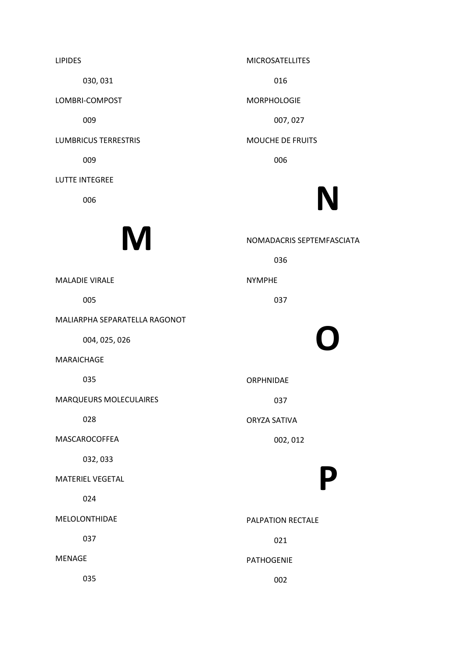LIPIDES 030, 031 LOMBRI-COMPOST 009 LUMBRICUS TERRESTRIS 009 LUTTE INTEGREE 006

#### **M**

MALADIE VIRALE

005

MALIARPHA SEPARATELLA RAGONOT

004, 025, 026

MARAICHAGE

035

MARQUEURS MOLECULAIRES

028

MASCAROCOFFEA

032, 033

MATERIEL VEGETAL

024

MELOLONTHIDAE

037

MENAGE

035

MICROSATELLITES

016

MORPHOLOGIE

007, 027

MOUCHE DE FRUITS

006

## N

NOMADACRIS SEPTEMFASCIATA

036

NYMPHE

037

# O

ORPHNIDAE

037

ORYZA SATIVA

002, 012

## P

PALPATION RECTALE

021

PATHOGENIE

002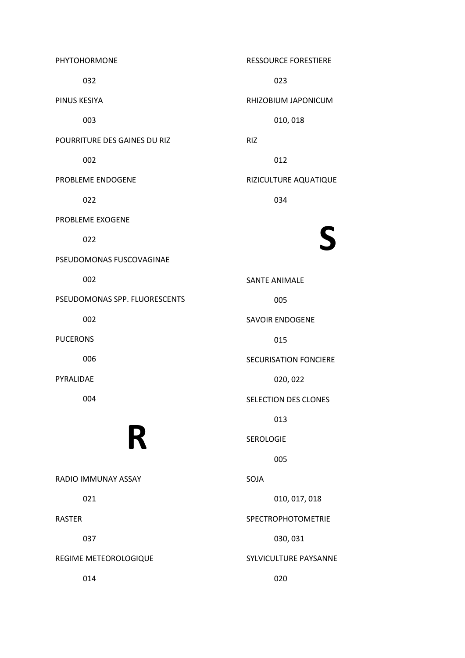PHYTOHORMONE 032 PINUS KESIYA 003 POURRITURE DES GAINES DU RIZ 002 PROBLEME ENDOGENE 022 PROBLEME EXOGENE 022 PSEUDOMONAS FUSCOVAGINAE 002 PSEUDOMONAS SPP. FLUORESCENTS 002 PUCERONS 006 PYRALIDAE 004 R RADIO IMMUNAY ASSAY 021 RASTER 037 REGIME METEOROLOGIQUE 014 RESSOURCE FORESTIERE

 023 RHIZOBIUM JAPONICUM 010, 018 RIZ 012 RIZICULTURE AQUATIQUE 034 S SANTE ANIMALE 005 SAVOIR ENDOGENE 015 SECURISATION FONCIERE 020, 022 SELECTION DES CLONES 013 SEROLOGIE 005 SOJA 010, 017, 018 SPECTROPHOTOMETRIE 030, 031 SYLVICULTURE PAYSANNE 020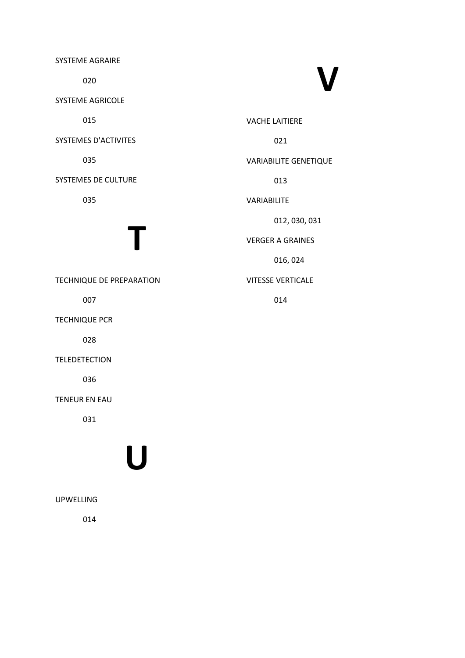SYSTEME AGRAIRE

020

SYSTEME AGRICOLE

015

SYSTEMES D'ACTIVITES

035

SYSTEMES DE CULTURE

035

## T

TECHNIQUE DE PREPARATION

007

TECHNIQUE PCR

028

TELEDETECTION

036

TENEUR EN EAU

031

## U

UPWELLING

014

# V

VACHE LAITIERE

021

#### VARIABILITE GENETIQUE

013

VARIABILITE

012, 030, 031

VERGER A GRAINES

016, 024

#### VITESSE VERTICALE

014